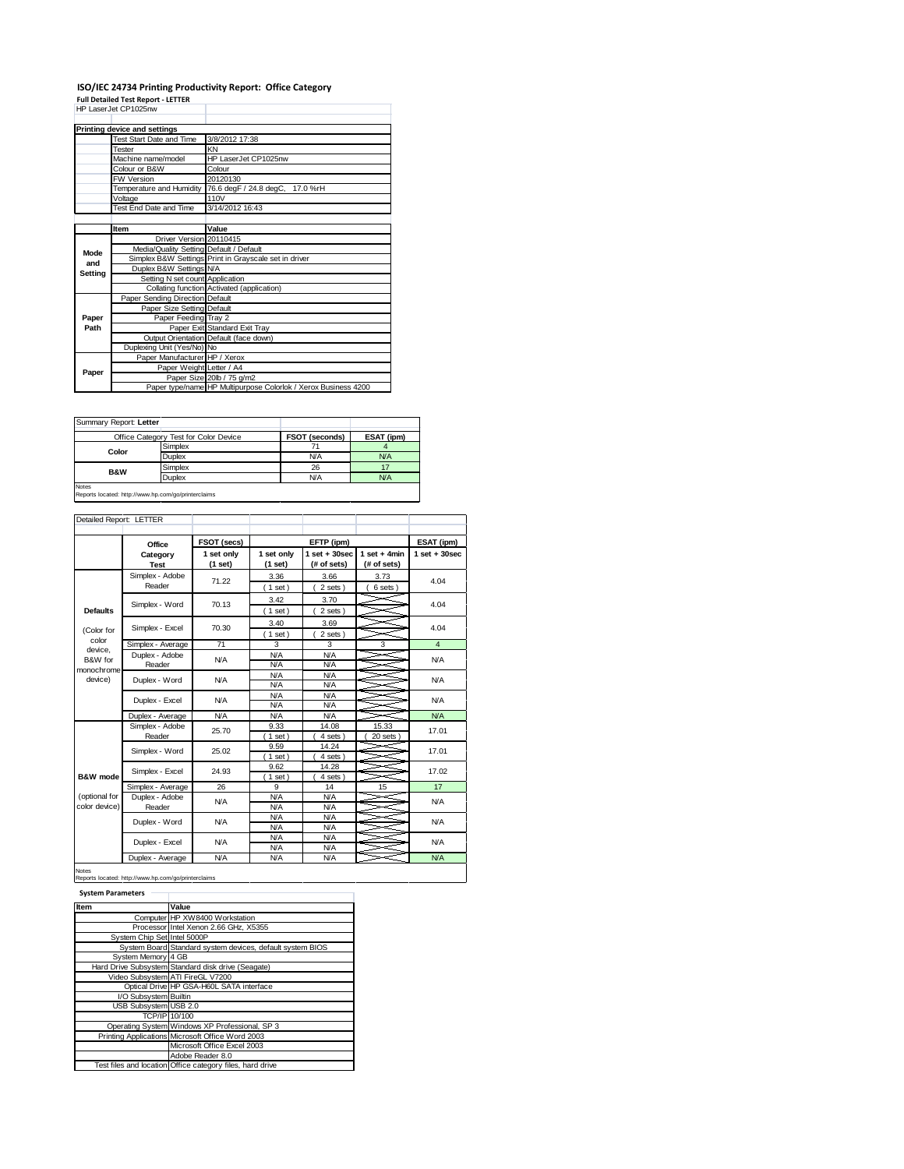## **ISO/IEC 24734 Printing Productivity Report: Office Category Full Detailed Test Report - LETTER** HP LaserJet CP1025nw

|                | Printing device and settings            |                                                                |
|----------------|-----------------------------------------|----------------------------------------------------------------|
|                | Test Start Date and Time                | 3/8/2012 17:38                                                 |
|                | Tester                                  | KΝ                                                             |
|                | Machine name/model                      | HP LaserJet CP1025nw                                           |
|                | Colour or B&W                           | Colour                                                         |
|                | <b>FW Version</b>                       | 20120130                                                       |
|                | Temperature and Humidity                | 76.6 degF / 24.8 degC, 17.0 %rH                                |
|                | Voltage                                 | 110V                                                           |
|                | Test End Date and Time                  | 3/14/2012 16:43                                                |
|                |                                         |                                                                |
|                | Item                                    | Value                                                          |
|                | Driver Version 20110415                 |                                                                |
| Mode           | Media/Quality Setting Default / Default |                                                                |
| and<br>Setting |                                         | Simplex B&W Settings Print in Grayscale set in driver          |
|                | Duplex B&W Settings N/A                 |                                                                |
|                | Setting N set count Application         |                                                                |
|                |                                         | Collating function Activated (application)                     |
|                | Paper Sending Direction Default         |                                                                |
|                | Paper Size Setting Default              |                                                                |
| Paper          | Paper Feeding Tray 2                    |                                                                |
| Path           |                                         | Paper Exit Standard Exit Tray                                  |
|                |                                         | Output Orientation Default (face down)                         |
|                | Duplexing Unit (Yes/No) No              |                                                                |
|                | Paper Manufacturer HP / Xerox           |                                                                |
| Paper          | Paper Weight Letter / A4                |                                                                |
|                |                                         | Paper Size 20lb / 75 g/m2                                      |
|                |                                         | Paper type/name HP Multipurpose Colorlok / Xerox Business 4200 |

|                | Office Category Test for Color Device | <b>FSOT (seconds)</b> | ESAT (ipm) |
|----------------|---------------------------------------|-----------------------|------------|
| Color          | Simplex                               |                       |            |
|                | <b>Duplex</b>                         | N/A                   | <b>N/A</b> |
| <b>B&amp;W</b> | Simplex                               | 26                    |            |
|                | <b>Duplex</b>                         | N/A                   | <b>N/A</b> |

| Detailed Report: LETTER        |                           |                       |                          |                                  |                               |                   |
|--------------------------------|---------------------------|-----------------------|--------------------------|----------------------------------|-------------------------------|-------------------|
|                                |                           |                       |                          |                                  |                               |                   |
|                                | Office                    | FSOT (secs)           |                          | EFTP (ipm)                       |                               | ESAT (ipm)        |
|                                | Category<br><b>Test</b>   | 1 set only<br>(1 set) | 1 set only<br>(1 set)    | $1$ set $+30$ sec<br>(# of sets) | $1$ set + 4min<br>(# of sets) | $1$ set $+30$ sec |
|                                | Simplex - Adobe<br>Reader | 71.22                 | 3.36<br>$1$ set)         | 3.66<br>2 sets)                  | 3.73<br>6 sets)               | 4.04              |
| <b>Defaults</b>                | Simplex - Word            | 70.13                 | 3.42<br>$1$ set)         | 3.70<br>2 sets)                  |                               | 4.04              |
| (Color for                     | Simplex - Excel           | 70.30                 | 3.40<br>$1$ set)         | 3.69<br>2 sets)                  |                               | 4.04              |
| color                          | Simplex - Average         | 71                    | 3                        | 3                                | 3                             | $\overline{4}$    |
| device.<br>B&W for             | Duplex - Adobe<br>Reader  | <b>N/A</b>            | <b>N/A</b><br>N/A        | <b>N/A</b><br><b>N/A</b>         |                               | N/A               |
| monochrome<br>device)          | Duplex - Word             | <b>N/A</b>            | <b>N/A</b><br><b>N/A</b> | <b>N/A</b><br><b>N/A</b>         |                               | N/A               |
|                                | Duplex - Excel            | <b>N/A</b>            | <b>N/A</b><br>N/A        | <b>N/A</b><br><b>N/A</b>         |                               | N/A               |
|                                | Duplex - Average          | <b>N/A</b>            | <b>N/A</b>               | <b>N/A</b>                       |                               | <b>N/A</b>        |
|                                | Simplex - Adobe<br>Reader | 25.70                 | 9.33<br>$1$ set)         | 14.08<br>4 sets)                 | 15.33<br>20 sets              | 17.01             |
|                                | Simplex - Word            | 25.02                 | 9.59<br>$1$ set)         | 14.24<br>4 sets)                 |                               | 17.01             |
| <b>B&amp;W</b> mode            | Simplex - Excel           | 24.93                 | 9.62<br>$1$ set)         | 14.28<br>4 sets)                 |                               | 17.02             |
|                                | Simplex - Average         | 26                    | 9                        | 14                               | 15                            | 17                |
| (optional for<br>color device) | Duplex - Adobe<br>Reader  | <b>N/A</b>            | <b>N/A</b><br>N/A        | <b>N/A</b><br><b>N/A</b>         |                               | N/A               |
|                                | Duplex - Word             | <b>N/A</b>            | <b>N/A</b><br><b>N/A</b> | <b>N/A</b><br><b>N/A</b>         |                               | N/A               |
|                                | Duplex - Excel            | <b>N/A</b>            | <b>N/A</b><br><b>N/A</b> | <b>N/A</b><br><b>N/A</b>         |                               | N/A               |
|                                | Duplex - Average          | <b>N/A</b>            | <b>N/A</b>               | <b>N/A</b>                       |                               | <b>N/A</b>        |

Notes Reports located: http://www.hp.com/go/printerclaims

| ٠ |  |  |  |
|---|--|--|--|
|   |  |  |  |

| Item                        | Value                                                     |
|-----------------------------|-----------------------------------------------------------|
|                             | Computer HP XW8400 Workstation                            |
|                             | Processor Intel Xenon 2.66 GHz, X5355                     |
| System Chip Set Intel 5000P |                                                           |
|                             | System Board Standard system devices, default system BIOS |
| System Memory 4 GB          |                                                           |
|                             | Hard Drive Subsystem Standard disk drive (Seagate)        |
|                             | Video Subsystem ATI FireGL V7200                          |
|                             | Optical Drive HP GSA-H60L SATA interface                  |
| I/O Subsystem Builtin       |                                                           |
| USB Subsystem USB 2.0       |                                                           |
|                             | <b>TCP/IP 10/100</b>                                      |
|                             | Operating System Windows XP Professional, SP 3            |
|                             | Printing Applications Microsoft Office Word 2003          |
|                             | Microsoft Office Excel 2003                               |
|                             | Adobe Reader 8.0                                          |
|                             | Test files and location Office category files, hard drive |